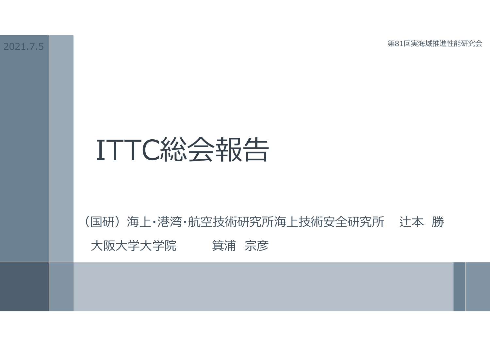第81回実海域推進性能研究会

2021.7.5

# ITTC総会報告

### (国研)海上・港湾・航空技術研究所海上技術安全研究所 辻本 勝 大阪大学大学院 箕浦 宗彦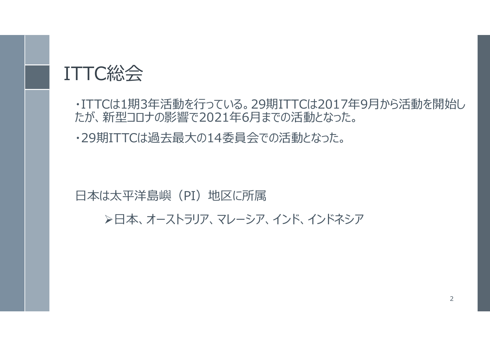## ITTC総会

・ITTCは1期3年活動を⾏っている。29期ITTCは2017年9月から活動を開始し たが、新型コロナの影響で2021年6月までの活動となった。

・29期ITTCは過去最大の14委員会での活動となった。

日本は太平洋島嶼(PI)地区に所属

日本、オーストラリア、マレーシア、インド、インドネシア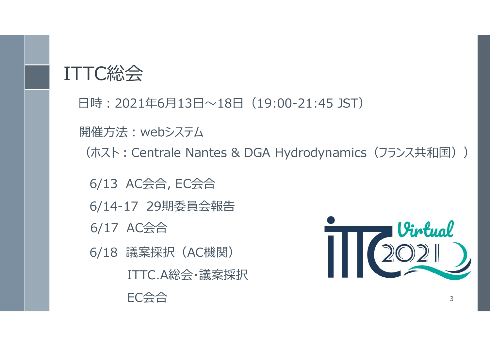## ITTC総会

日時: 2021年6月13日〜18日 (19:00-21:45 JST) 開催方法 : webシステム (ホスト: Centrale Nantes & DGA Hydrodynamics (フランス共和国)) 6/13 AC会合, EC会合 6/14-17 29期委員会報告 6/17 AC会合Virtual 6/18 議案採択(AC機関) ITTC.A総会・議案採択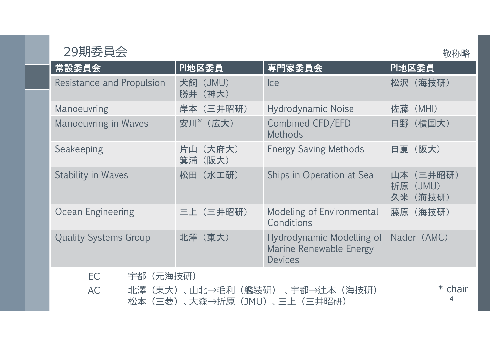#### 29期委員会

| 常設委員会                                             | PI地区委員                    | 専門家委員会                                                                 | PI地区委員                                  |
|---------------------------------------------------|---------------------------|------------------------------------------------------------------------|-----------------------------------------|
| <b>Resistance and Propulsion</b>                  | 犬飼 (JMU)<br>勝井(神大)        | <sub>lce</sub>                                                         | (海技研)<br>松沢                             |
| <b>Manoeuvring</b>                                | 岸本 (三井昭研)                 | <b>Hydrodynamic Noise</b>                                              | 佐藤<br>(MHI)                             |
| <b>Manoeuvring in Waves</b>                       | 安川* (広大)                  | Combined CFD/EFD<br><b>Methods</b>                                     | (横国大)<br>日野                             |
| Seakeeping                                        | (大府大)<br>片山<br>(阪大)<br>箕浦 | <b>Energy Saving Methods</b>                                           | 日夏 (阪大)                                 |
| <b>Stability in Waves</b>                         | 松田 (水工研)                  | Ships in Operation at Sea                                              | 山本 (三井昭研)<br>(JMU)<br>折原<br>(海技研)<br>久米 |
| <b>Ocean Engineering</b>                          | 三上(三井昭研)                  | Modeling of Environmental<br>Conditions                                | (海技研)<br>藤原                             |
| <b>Quality Systems Group</b>                      | 北澤 (東大)                   | Hydrodynamic Modelling of<br>Marine Renewable Energy<br><b>Devices</b> | Nader (AMC)                             |
| EC<br>宇都<br><b>AC</b><br>北澤<br>(東大)<br>(三菱)<br>松本 | (元海技研)<br>、山北→毛利(艦装研)     | 、宇都→辻本(海技研)<br>、大森→折原(JMU)、三上(三井昭研)                                    | chair<br>4                              |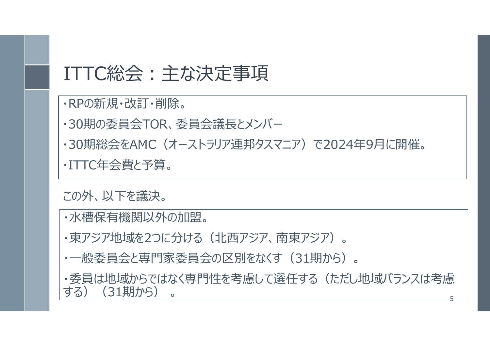### ITTC総会:主な決定事項

- ・RPの新規・改訂・削除。
- ・30期の委員会TOR、委員会議長とメンバー

・30期総会をAMC (オーストラリア連邦タスマニア) で2024年9月に開催。 ・ITTC年会費と予算。

この外、以下を議決。

・水槽保有機関以外の加盟。

・東アジア地域を2つに分ける(北西アジア、南東アジア)。

・一般委員会と専門家委員会の区別をなくす(31期から)。

5・委員は地域からではなく専門性を考慮して選任する(ただし地域バランスは考慮 する) (31期から)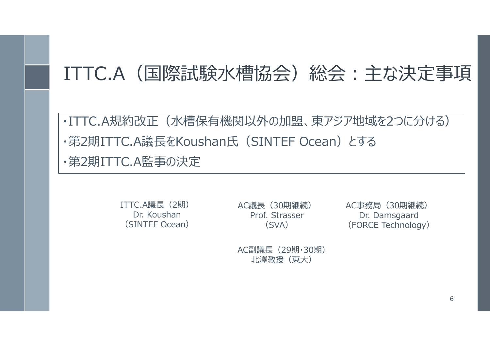## ITTC.A (国際試験水槽協会)総会:主な決定事項

・ITTC.A規約改正(水槽保有機関以外の加盟、東アジア地域を2つに分ける) ·第2期ITTC.A議長をKoushan氏 (SINTEF Ocean) とする ・第2期ITTC.A監事の決定

> ITTC.A議⻑(2期)Dr. Koushan(SINTEF Ocean)

AC議長(30期継続) Prof. Strasser(SVA)

AC事務局(30期継続)Dr. Damsgaard (FORCE Technology)

AC副議長 (29期·30期) 北澤教授(東大)